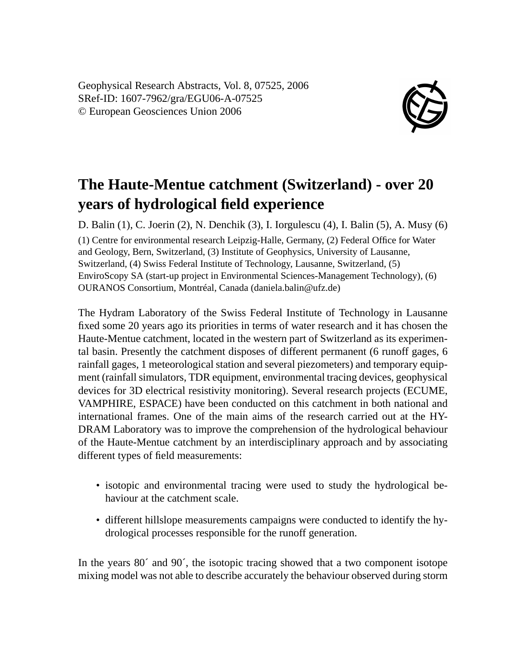Geophysical Research Abstracts, Vol. 8, 07525, 2006 SRef-ID: 1607-7962/gra/EGU06-A-07525 © European Geosciences Union 2006



## **The Haute-Mentue catchment (Switzerland) - over 20 years of hydrological field experience**

D. Balin (1), C. Joerin (2), N. Denchik (3), I. Iorgulescu (4), I. Balin (5), A. Musy (6) (1) Centre for environmental research Leipzig-Halle, Germany, (2) Federal Office for Water and Geology, Bern, Switzerland, (3) Institute of Geophysics, University of Lausanne, Switzerland, (4) Swiss Federal Institute of Technology, Lausanne, Switzerland, (5) EnviroScopy SA (start-up project in Environmental Sciences-Management Technology), (6) OURANOS Consortium, Montréal, Canada (daniela.balin@ufz.de)

The Hydram Laboratory of the Swiss Federal Institute of Technology in Lausanne fixed some 20 years ago its priorities in terms of water research and it has chosen the Haute-Mentue catchment, located in the western part of Switzerland as its experimental basin. Presently the catchment disposes of different permanent (6 runoff gages, 6 rainfall gages, 1 meteorological station and several piezometers) and temporary equipment (rainfall simulators, TDR equipment, environmental tracing devices, geophysical devices for 3D electrical resistivity monitoring). Several research projects (ECUME, VAMPHIRE, ESPACE) have been conducted on this catchment in both national and international frames. One of the main aims of the research carried out at the HY-DRAM Laboratory was to improve the comprehension of the hydrological behaviour of the Haute-Mentue catchment by an interdisciplinary approach and by associating different types of field measurements:

- isotopic and environmental tracing were used to study the hydrological behaviour at the catchment scale.
- different hillslope measurements campaigns were conducted to identify the hydrological processes responsible for the runoff generation.

In the years 80´ and 90´, the isotopic tracing showed that a two component isotope mixing model was not able to describe accurately the behaviour observed during storm